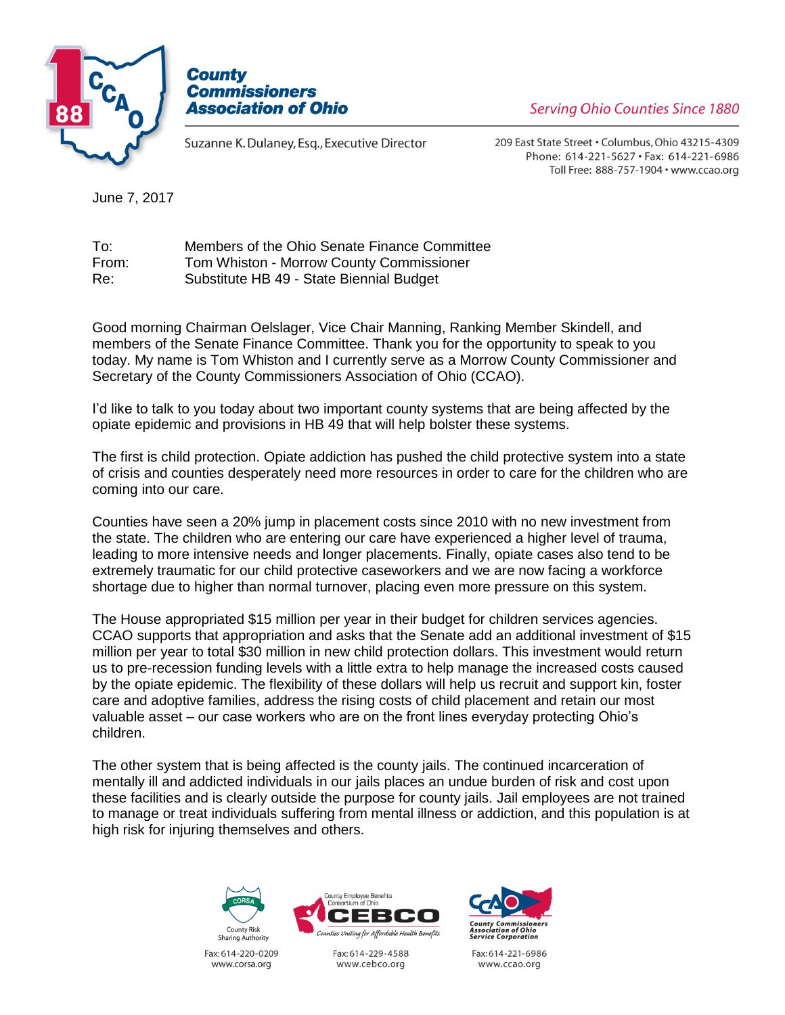



**Serving Ohio Counties Since 1880** 

Suzanne K. Dulaney, Esq., Executive Director

209 East State Street . Columbus, Ohio 43215-4309 Phone: 614-221-5627 · Fax: 614-221-6986 Toll Free: 888-757-1904 · www.ccao.org

June 7, 2017

| To:   | Members of the Ohio Senate Finance Committee |
|-------|----------------------------------------------|
| From: | Tom Whiston - Morrow County Commissioner     |
| Re:   | Substitute HB 49 - State Biennial Budget     |

Good morning Chairman Oelslager, Vice Chair Manning, Ranking Member Skindell, and members of the Senate Finance Committee. Thank you for the opportunity to speak to you today. My name is Tom Whiston and I currently serve as a Morrow County Commissioner and Secretary of the County Commissioners Association of Ohio (CCAO).

I'd like to talk to you today about two important county systems that are being affected by the opiate epidemic and provisions in HB 49 that will help bolster these systems.

The first is child protection. Opiate addiction has pushed the child protective system into a state of crisis and counties desperately need more resources in order to care for the children who are coming into our care.

Counties have seen a 20% jump in placement costs since 2010 with no new investment from the state. The children who are entering our care have experienced a higher level of trauma, leading to more intensive needs and longer placements. Finally, opiate cases also tend to be extremely traumatic for our child protective caseworkers and we are now facing a workforce shortage due to higher than normal turnover, placing even more pressure on this system.

The House appropriated \$15 million per year in their budget for children services agencies. CCAO supports that appropriation and asks that the Senate add an additional investment of \$15 million per year to total \$30 million in new child protection dollars. This investment would return us to pre-recession funding levels with a little extra to help manage the increased costs caused by the opiate epidemic. The flexibility of these dollars will help us recruit and support kin, foster care and adoptive families, address the rising costs of child placement and retain our most valuable asset – our case workers who are on the front lines everyday protecting Ohio's children.

The other system that is being affected is the county jails. The continued incarceration of mentally ill and addicted individuals in our jails places an undue burden of risk and cost upon these facilities and is clearly outside the purpose for county jails. Jail employees are not trained to manage or treat individuals suffering from mental illness or addiction, and this population is at high risk for injuring themselves and others.

EBCO







County Employee Benefits<br>Consortium of Ohio



Fax: 614-221-6986 www.ccao.org